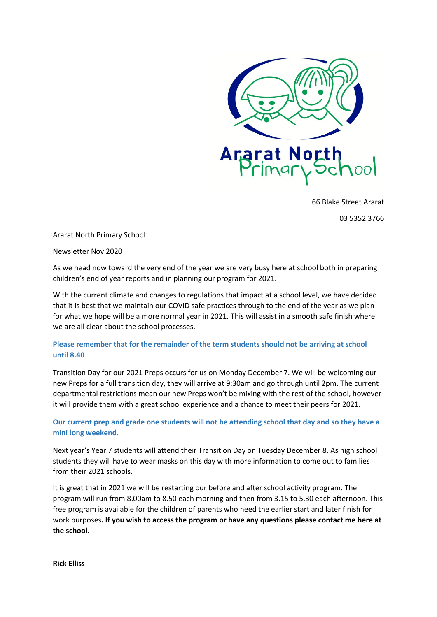

66 Blake Street Ararat

03 5352 3766

Ararat North Primary School

Newsletter Nov 2020

As we head now toward the very end of the year we are very busy here at school both in preparing children's end of year reports and in planning our program for 2021.

With the current climate and changes to regulations that impact at a school level, we have decided that it is best that we maintain our COVID safe practices through to the end of the year as we plan for what we hope will be a more normal year in 2021. This will assist in a smooth safe finish where we are all clear about the school processes.

**Please remember that for the remainder of the term students should not be arriving at school until 8.40**

Transition Day for our 2021 Preps occurs for us on Monday December 7. We will be welcoming our new Preps for a full transition day, they will arrive at 9:30am and go through until 2pm. The current departmental restrictions mean our new Preps won't be mixing with the rest of the school, however it will provide them with a great school experience and a chance to meet their peers for 2021.

**Our current prep and grade one students will not be attending school that day and so they have a mini long weekend.** 

Next year's Year 7 students will attend their Transition Day on Tuesday December 8. As high school students they will have to wear masks on this day with more information to come out to families from their 2021 schools.

It is great that in 2021 we will be restarting our before and after school activity program. The program will run from 8.00am to 8.50 each morning and then from 3.15 to 5.30 each afternoon. This free program is available for the children of parents who need the earlier start and later finish for work purposes**. If you wish to access the program or have any questions please contact me here at the school.**